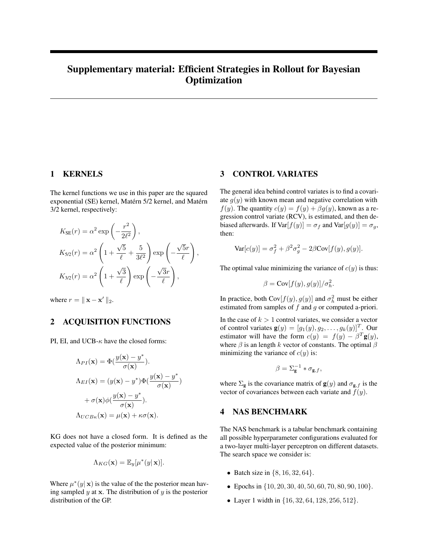# Supplementary material: Efficient Strategies in Rollout for Bayesian **Optimization**

# 1 KERNELS

The kernel functions we use in this paper are the squared exponential (SE) kernel, Matérn 5/2 kernel, and Matérn 3/2 kernel, respectively:

$$
K_{\text{SE}}(r) = \alpha^2 \exp\left(-\frac{r^2}{2\ell^2}\right),
$$
  
\n
$$
K_{\text{S}/2}(r) = \alpha^2 \left(1 + \frac{\sqrt{5}}{\ell} + \frac{5}{3\ell^2}\right) \exp\left(-\frac{\sqrt{5}r}{\ell}\right),
$$
  
\n
$$
K_{\text{S}/2}(r) = \alpha^2 \left(1 + \frac{\sqrt{3}}{\ell}\right) \exp\left(-\frac{\sqrt{3}r}{\ell}\right),
$$

where  $r = ||\mathbf{x} - \mathbf{x}'||_2$ .

# 2 ACQUISITION FUNCTIONS

PI, EI, and UCB- $\kappa$  have the closed forms:

$$
\Lambda_{PI}(\mathbf{x}) = \Phi(\frac{y(\mathbf{x}) - y^*}{\sigma(\mathbf{x})}).
$$
  
\n
$$
\Lambda_{EI}(\mathbf{x}) = (y(\mathbf{x}) - y^*)\Phi(\frac{y(\mathbf{x}) - y^*}{\sigma(\mathbf{x})})
$$
  
\n
$$
+ \sigma(\mathbf{x})\phi(\frac{y(\mathbf{x}) - y^*}{\sigma(\mathbf{x})}).
$$
  
\n
$$
\Lambda_{UCB\kappa}(\mathbf{x}) = \mu(\mathbf{x}) + \kappa\sigma(\mathbf{x}).
$$

KG does not have a closed form. It is defined as the expected value of the posterior minimum:

$$
\Lambda_{KG}(\mathbf{x}) = \mathbb{E}_y[\mu^*(y|\mathbf{x})].
$$

Where  $\mu^*(y|\mathbf{x})$  is the value of the the posterior mean having sampled  $y$  at  $x$ . The distribution of  $y$  is the posterior distribution of the GP.

### 3 CONTROL VARIATES

The general idea behind control variates is to find a covariate  $g(y)$  with known mean and negative correlation with  $f(y)$ . The quantity  $c(y) = f(y) + \beta g(y)$ , known as a regression control variate (RCV), is estimated, and then debiased afterwards. If  $Var[f(y)] = \sigma_f$  and  $Var[g(y)] = \sigma_g$ , then:

$$
\text{Var}[c(y)] = \sigma_f^2 + \beta^2 \sigma_g^2 - 2\beta \text{Cov}[f(y), g(y)].
$$

The optimal value minimizing the variance of  $c(y)$  is thus:

$$
\beta = \text{Cov}[f(y), g(y)] / \sigma_h^2.
$$

In practice, both  $Cov[f(y), g(y)]$  and  $\sigma_h^2$  must be either estimated from samples of  $f$  and  $g$  or computed a-priori.

In the case of  $k > 1$  control variates, we consider a vector of control variates  $\mathbf{g}(y) = [g_1(y), g_2, \dots, g_k(y)]^T$ . Our estimator will have the form  $c(y) = f(y) - \beta^{T}g(y)$ , where  $\beta$  is an length k vector of constants. The optimal  $\beta$ minimizing the variance of  $c(y)$  is:

$$
\beta = \Sigma_{\mathbf{g}}^{-1} * \sigma_{\mathbf{g},f},
$$

where  $\Sigma_{\mathbf{g}}$  is the covariance matrix of  $\mathbf{g}(y)$  and  $\sigma_{\mathbf{g},f}$  is the vector of covariances between each variate and  $f(y)$ .

# 4 NAS BENCHMARK

The NAS benchmark is a tabular benchmark containing all possible hyperparameter configurations evaluated for a two-layer multi-layer perceptron on different datasets. The search space we consider is:

- Batch size in  $\{8, 16, 32, 64\}.$
- Epochs in  $\{10, 20, 30, 40, 50, 60, 70, 80, 90, 100\}$ .
- Layer 1 width in  $\{16, 32, 64, 128, 256, 512\}$ .